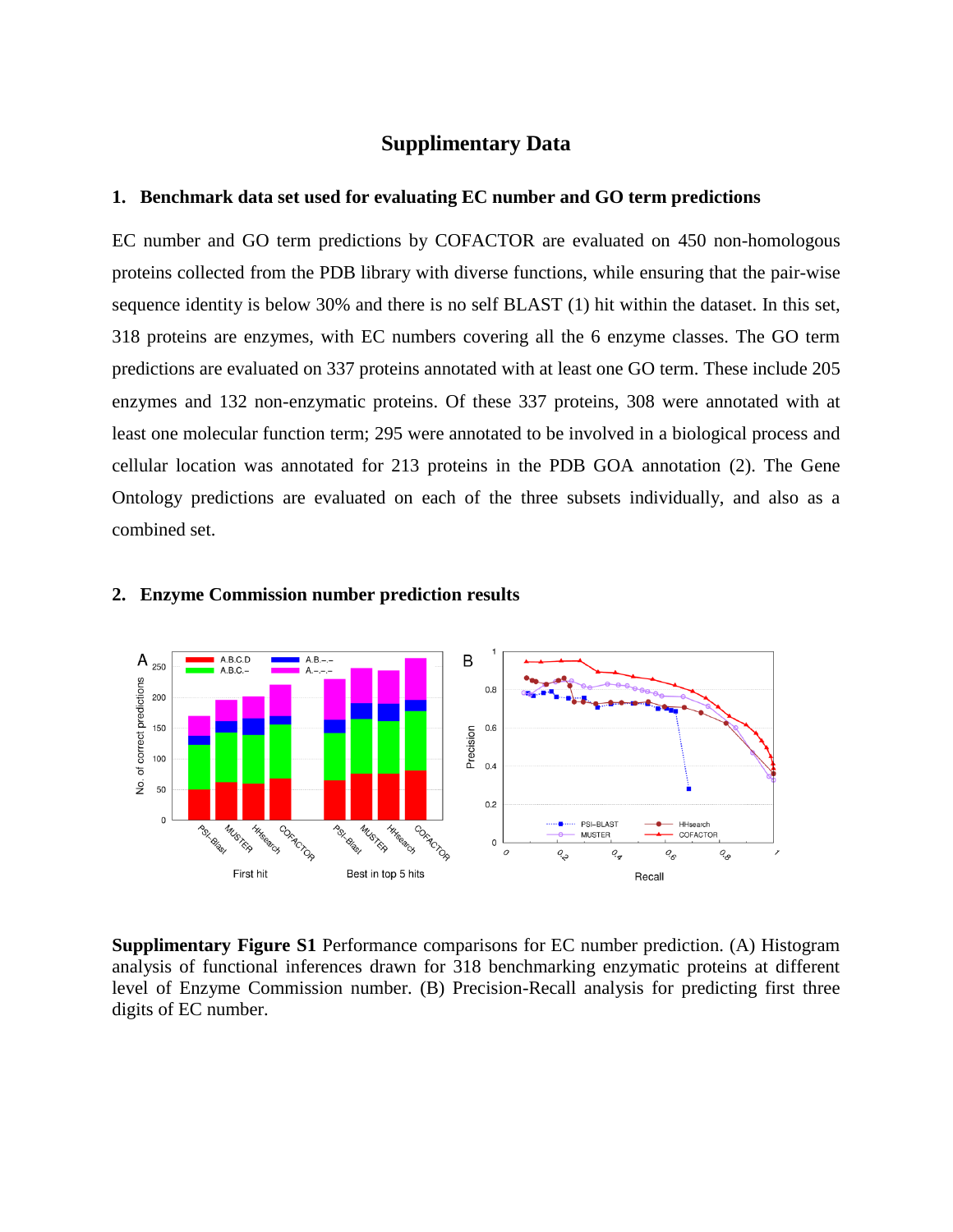# **Supplimentary Data**

## **1. Benchmark data set used for evaluating EC number and GO term predictions**

EC number and GO term predictions by COFACTOR are evaluated on 450 non-homologous proteins collected from the PDB library with diverse functions, while ensuring that the pair-wise sequence identity is below 30% and there is no self BLAST [\(1\)](#page-2-0) hit within the dataset. In this set, 318 proteins are enzymes, with EC numbers covering all the 6 enzyme classes. The GO term predictions are evaluated on 337 proteins annotated with at least one GO term. These include 205 enzymes and 132 non-enzymatic proteins. Of these 337 proteins, 308 were annotated with at least one molecular function term; 295 were annotated to be involved in a biological process and cellular location was annotated for 213 proteins in the PDB GOA annotation [\(2\)](#page-2-1). The Gene Ontology predictions are evaluated on each of the three subsets individually, and also as a combined set.



## **2. Enzyme Commission number prediction results**

**Supplimentary Figure S1** Performance comparisons for EC number prediction. (A) Histogram analysis of functional inferences drawn for 318 benchmarking enzymatic proteins at different level of Enzyme Commission number. (B) Precision-Recall analysis for predicting first three digits of EC number.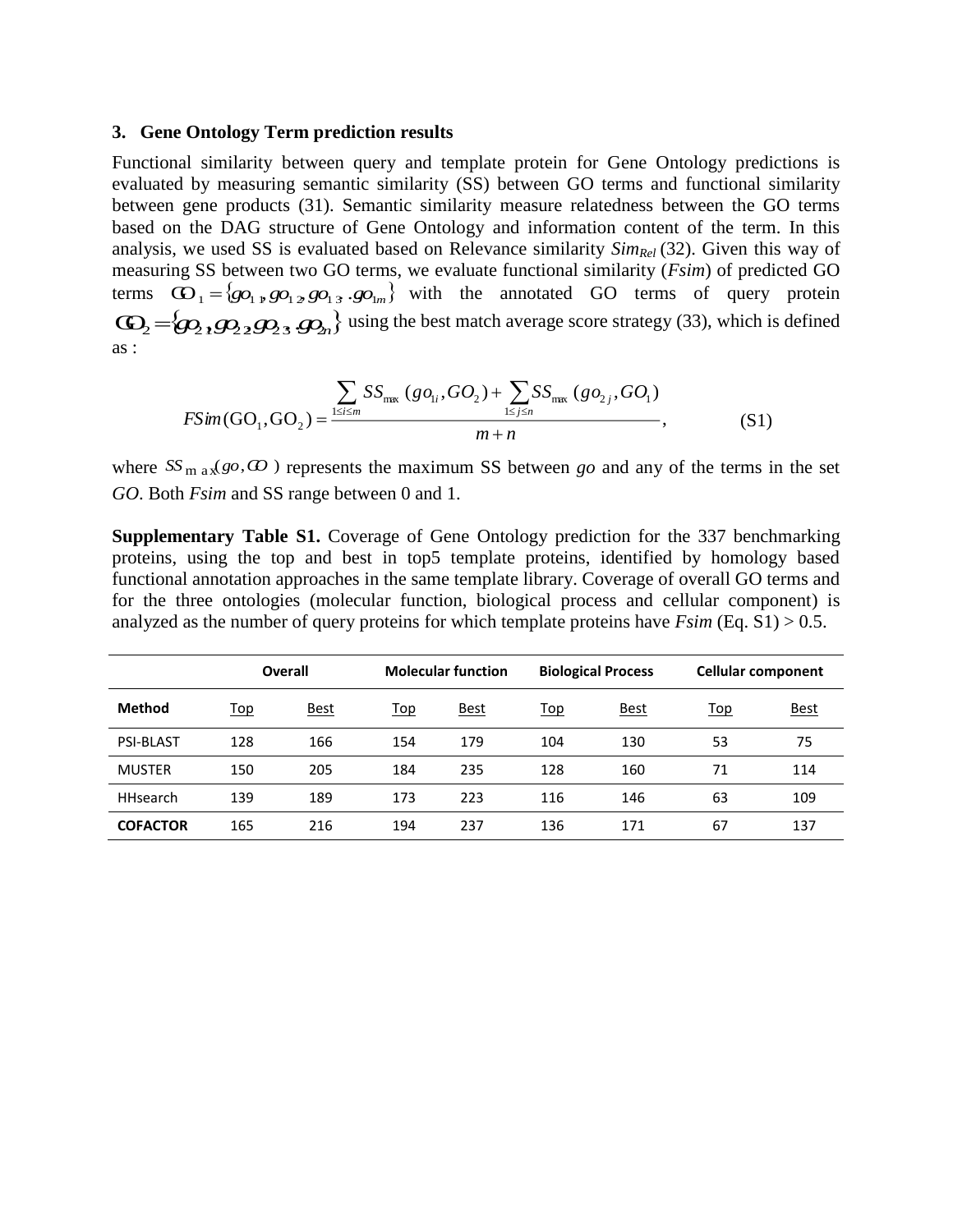## **3. Gene Ontology Term prediction results**

Functional similarity between query and template protein for Gene Ontology predictions is evaluated by measuring semantic similarity (SS) between GO terms and functional similarity between gene products [\(31](#page-2-2)). Semantic similarity measure relatedness between the GO terms based on the DAG structure of Gene Ontology and information content of the term. In this analysis, we used SS is evaluated based on Relevance similarity *SimRel* [\(32\)](#page-2-3). Given this way of measuring SS between two GO terms, we evaluate functional similarity (*Fsim*) of predicted GO terms  $\mathbf{G}_1 = \{g_0, g_1, g_2, g_2, g_3, g_4, g_5, g_6, g_7, g_8, g_9, g_1, g_2, g_1, g_2, g_3, g_4, g_6, g_7, g_7, g_8, g_1, g_2, g_3, g_4, g_6, g_7, g_7, g_8, g_1, g_2, g_3, g_4, g_6, g_7, g_8, g_1, g_2, g_3, g_4, g_6, g_1, g_2, g_3, g_4, g_6, g_1, g_2, g_3, g_4, g_6,$  $\mathbb{G}_2 = \{g_2, g_2, g_2, g_3, g_4\}$  using the best match average score strategy [\(33\)](#page-2-4), which is defined as :

$$
FSim(GO_1, GO_2) = \frac{\sum_{1 \le i \le m} SS_{\max} (gO_{1i}, GO_2) + \sum_{1 \le j \le n} SS_{\max} (gO_{2j}, GO_1)}{m+n},
$$
(S1)

where  $SS_{\text{m}}$ <sub>ax</sub>(*go*,  $\omega$ ) represents the maximum SS between *go* and any of the terms in the set *GO*. Both *Fsim* and SS range between 0 and 1.

**Supplementary Table S1.** Coverage of Gene Ontology prediction for the 337 benchmarking proteins, using the top and best in top5 template proteins, identified by homology based functional annotation approaches in the same template library. Coverage of overall GO terms and for the three ontologies (molecular function, biological process and cellular component) is analyzed as the number of query proteins for which template proteins have *Fsim* (Eq. S1) > 0.5.

|                  | <b>Overall</b> |             | <b>Molecular function</b> |             | <b>Biological Process</b> |             | <b>Cellular component</b> |             |
|------------------|----------------|-------------|---------------------------|-------------|---------------------------|-------------|---------------------------|-------------|
| <b>Method</b>    | <u>Top</u>     | <u>Best</u> | <u>Top</u>                | <b>Best</b> | <b>Top</b>                | <b>Best</b> | <b>Top</b>                | <b>Best</b> |
| <b>PSI-BLAST</b> | 128            | 166         | 154                       | 179         | 104                       | 130         | 53                        | 75          |
| <b>MUSTER</b>    | 150            | 205         | 184                       | 235         | 128                       | 160         | 71                        | 114         |
| HHsearch         | 139            | 189         | 173                       | 223         | 116                       | 146         | 63                        | 109         |
| <b>COFACTOR</b>  | 165            | 216         | 194                       | 237         | 136                       | 171         | 67                        | 137         |